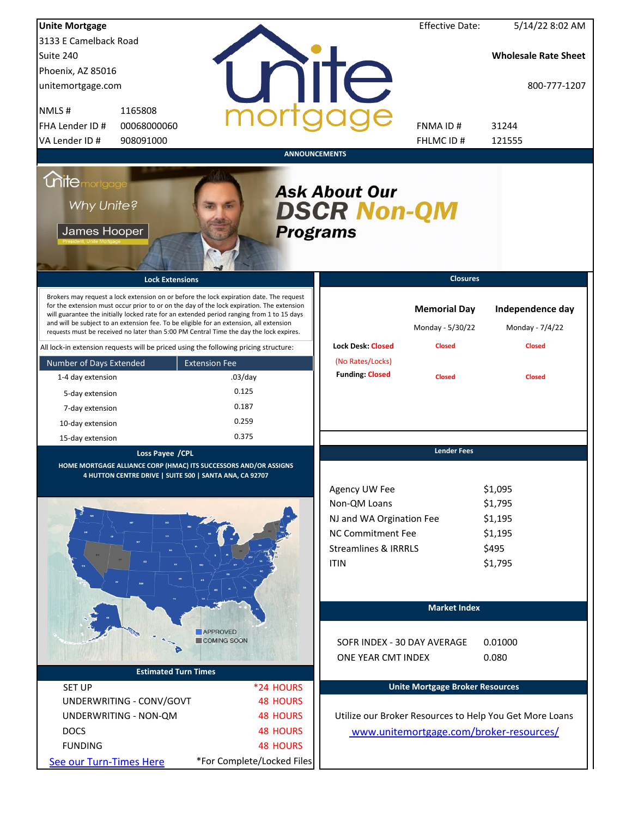| <b>Unite Mortgage</b>                              |                                                                                                                                                                                                                                                                                                                                                                                                                                                                        |                            |                                                                                                                          | <b>Effective Date:</b>                                   | 5/14/22 8:02 AM                                         |
|----------------------------------------------------|------------------------------------------------------------------------------------------------------------------------------------------------------------------------------------------------------------------------------------------------------------------------------------------------------------------------------------------------------------------------------------------------------------------------------------------------------------------------|----------------------------|--------------------------------------------------------------------------------------------------------------------------|----------------------------------------------------------|---------------------------------------------------------|
| 3133 E Camelback Road                              |                                                                                                                                                                                                                                                                                                                                                                                                                                                                        |                            |                                                                                                                          |                                                          |                                                         |
| Suite 240                                          |                                                                                                                                                                                                                                                                                                                                                                                                                                                                        |                            |                                                                                                                          |                                                          | <b>Wholesale Rate Sheet</b>                             |
| Phoenix, AZ 85016                                  |                                                                                                                                                                                                                                                                                                                                                                                                                                                                        |                            |                                                                                                                          |                                                          |                                                         |
| unitemortgage.com                                  |                                                                                                                                                                                                                                                                                                                                                                                                                                                                        |                            | <b>TITE</b>                                                                                                              |                                                          | 800-777-1207                                            |
| NMLS#                                              | 1165808                                                                                                                                                                                                                                                                                                                                                                                                                                                                |                            |                                                                                                                          |                                                          |                                                         |
| FHA Lender ID #                                    | 00068000060                                                                                                                                                                                                                                                                                                                                                                                                                                                            |                            |                                                                                                                          | <b>FNMAID#</b>                                           | 31244                                                   |
| VA Lender ID #                                     | 908091000                                                                                                                                                                                                                                                                                                                                                                                                                                                              |                            |                                                                                                                          | <b>FHLMCID#</b>                                          | 121555                                                  |
|                                                    |                                                                                                                                                                                                                                                                                                                                                                                                                                                                        | <b>ANNOUNCEMENTS</b>       |                                                                                                                          |                                                          |                                                         |
| <b>Chitemortgage</b><br>Why Unite?<br>James Hooper |                                                                                                                                                                                                                                                                                                                                                                                                                                                                        | <b>Programs</b>            | <b>Ask About Our</b><br><b>DSCR Non-QM</b>                                                                               |                                                          |                                                         |
|                                                    | <b>Lock Extensions</b>                                                                                                                                                                                                                                                                                                                                                                                                                                                 |                            |                                                                                                                          | <b>Closures</b>                                          |                                                         |
|                                                    | Brokers may request a lock extension on or before the lock expiration date. The request<br>for the extension must occur prior to or on the day of the lock expiration. The extension<br>will guarantee the initially locked rate for an extended period ranging from 1 to 15 days<br>and will be subject to an extension fee. To be eligible for an extension, all extension<br>requests must be received no later than 5:00 PM Central Time the day the lock expires. |                            | <b>Lock Desk: Closed</b>                                                                                                 | <b>Memorial Day</b><br>Monday - 5/30/22<br><b>Closed</b> | Independence day<br>Monday - 7/4/22<br><b>Closed</b>    |
|                                                    | All lock-in extension requests will be priced using the following pricing structure:                                                                                                                                                                                                                                                                                                                                                                                   |                            | (No Rates/Locks)                                                                                                         |                                                          |                                                         |
| Number of Days Extended                            | <b>Extension Fee</b>                                                                                                                                                                                                                                                                                                                                                                                                                                                   |                            | <b>Funding: Closed</b>                                                                                                   |                                                          |                                                         |
| 1-4 day extension                                  |                                                                                                                                                                                                                                                                                                                                                                                                                                                                        | $.03$ /day                 |                                                                                                                          | <b>Closed</b>                                            | <b>Closed</b>                                           |
| 5-day extension                                    |                                                                                                                                                                                                                                                                                                                                                                                                                                                                        | 0.125                      |                                                                                                                          |                                                          |                                                         |
| 7-day extension                                    |                                                                                                                                                                                                                                                                                                                                                                                                                                                                        | 0.187                      |                                                                                                                          |                                                          |                                                         |
| 10-day extension                                   |                                                                                                                                                                                                                                                                                                                                                                                                                                                                        | 0.259                      |                                                                                                                          |                                                          |                                                         |
| 15-day extension                                   |                                                                                                                                                                                                                                                                                                                                                                                                                                                                        | 0.375                      |                                                                                                                          |                                                          |                                                         |
|                                                    | Loss Payee / CPL<br>HOME MORTGAGE ALLIANCE CORP (HMAC) ITS SUCCESSORS AND/OR ASSIGNS<br>4 HUTTON CENTRE DRIVE   SUITE 500   SANTA ANA, CA 92707                                                                                                                                                                                                                                                                                                                        |                            | Agency UW Fee<br>Non-QM Loans<br>NJ and WA Orgination Fee<br><b>NC Commitment Fee</b><br><b>Streamlines &amp; IRRRLS</b> | <b>Lender Fees</b>                                       | \$1,095<br>\$1,795<br>\$1,195<br>\$1,195<br>\$495       |
|                                                    |                                                                                                                                                                                                                                                                                                                                                                                                                                                                        |                            | <b>ITIN</b>                                                                                                              | <b>Market Index</b>                                      | \$1,795                                                 |
|                                                    |                                                                                                                                                                                                                                                                                                                                                                                                                                                                        |                            |                                                                                                                          |                                                          |                                                         |
|                                                    | <b>APPROVED</b>                                                                                                                                                                                                                                                                                                                                                                                                                                                        |                            |                                                                                                                          |                                                          |                                                         |
|                                                    | COMING SOON                                                                                                                                                                                                                                                                                                                                                                                                                                                            |                            | SOFR INDEX - 30 DAY AVERAGE                                                                                              |                                                          | 0.01000                                                 |
|                                                    |                                                                                                                                                                                                                                                                                                                                                                                                                                                                        |                            | ONE YEAR CMT INDEX                                                                                                       |                                                          | 0.080                                                   |
|                                                    | <b>Estimated Turn Times</b>                                                                                                                                                                                                                                                                                                                                                                                                                                            |                            |                                                                                                                          |                                                          |                                                         |
| <b>SET UP</b>                                      |                                                                                                                                                                                                                                                                                                                                                                                                                                                                        | *24 HOURS                  |                                                                                                                          | <b>Unite Mortgage Broker Resources</b>                   |                                                         |
|                                                    | UNDERWRITING - CONV/GOVT                                                                                                                                                                                                                                                                                                                                                                                                                                               | <b>48 HOURS</b>            |                                                                                                                          |                                                          |                                                         |
| UNDERWRITING - NON-QM                              |                                                                                                                                                                                                                                                                                                                                                                                                                                                                        | <b>48 HOURS</b>            |                                                                                                                          |                                                          | Utilize our Broker Resources to Help You Get More Loans |
| <b>DOCS</b>                                        |                                                                                                                                                                                                                                                                                                                                                                                                                                                                        | <b>48 HOURS</b>            |                                                                                                                          |                                                          | www.unitemortgage.com/broker-resources/                 |
| <b>FUNDING</b>                                     |                                                                                                                                                                                                                                                                                                                                                                                                                                                                        | <b>48 HOURS</b>            |                                                                                                                          |                                                          |                                                         |
| See our Turn-Times Here                            |                                                                                                                                                                                                                                                                                                                                                                                                                                                                        | *For Complete/Locked Files |                                                                                                                          |                                                          |                                                         |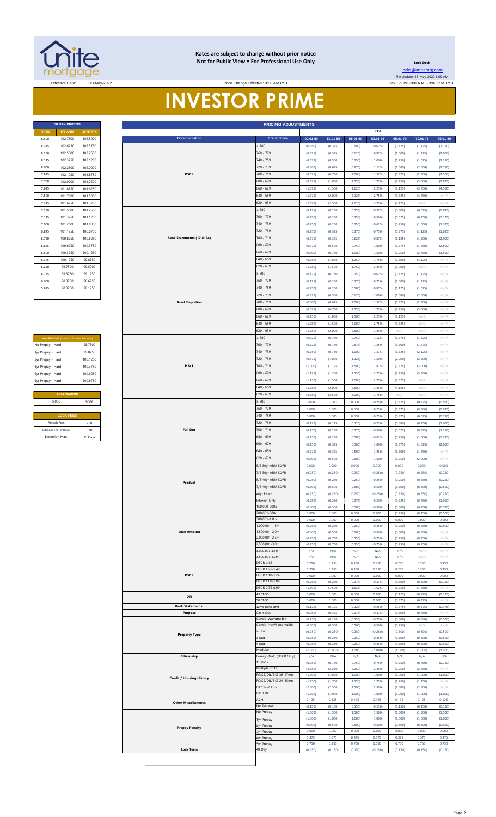

#### **Rates are subject to change without prior notice Not for Public View • For Professional Use Only <b>Leading Community** Lock Desk

Price Change Effective: 9:00 AM PST

**30 DAY PRICING PRICING ADJUSTMENTS**

[locks@unitemtg](mailto:locks@unitemtg.com).com File Update: 13-May-2022 6:09 AM

Effective Date: 13-May-2022 Lock Hours: 9:00 A.M. - 3:00 P.M. PST

# **INVESTOR PRIME**

| <b>30 DAY PRICING</b> |                |                 |  |  |  |  |  |
|-----------------------|----------------|-----------------|--|--|--|--|--|
| <b>RATE</b>           | <b>5/6 ARM</b> | <b>30YR FIX</b> |  |  |  |  |  |
| 8.500                 | 102.7500       | 102.5000        |  |  |  |  |  |
| 8.375                 | 102.6250       | 102.3750        |  |  |  |  |  |
| 8.250                 | 102.5000       | 102.2500        |  |  |  |  |  |
| 8.125                 | 102.3750       | 102.1250        |  |  |  |  |  |
| 8.000                 | 102 2500       | 102 0000        |  |  |  |  |  |
| 7.875                 | 102.1250       | 101.8750        |  |  |  |  |  |
| 7.750                 | 102.0000       | 101.7500        |  |  |  |  |  |
| 7.625                 | 101.8750       | 101.6250        |  |  |  |  |  |
| 7.500                 | 101.7500       | 101.5000        |  |  |  |  |  |
| 7.375                 | 101.6250       | 101.3750        |  |  |  |  |  |
| 7.250                 | 101.5000       | 101.2500        |  |  |  |  |  |
| 7.125                 | 101.3750       | 101.1250        |  |  |  |  |  |
| 7.000                 | 101.2500       | 101.0000        |  |  |  |  |  |
| 6.875                 | 101.1250       | 100.8750        |  |  |  |  |  |
| 6.750                 | 100.8750       | 100.6250        |  |  |  |  |  |
| 6.625                 | 100.6250       | 100.3750        |  |  |  |  |  |
| 6.500                 | 100.3750       | 100.1250        |  |  |  |  |  |
| 6.375                 | 100.1250       | 99.8750         |  |  |  |  |  |
| 6.250                 | 99.7500        | 99.5000         |  |  |  |  |  |
| 6.125                 | 99.3750        | 99.1250         |  |  |  |  |  |
| 6.000                 | 98.8750        | 98.6250         |  |  |  |  |  |
| 5.875                 | 983750         | 98 1250         |  |  |  |  |  |
|                       |                |                 |  |  |  |  |  |

| <b>MAX PRICING (Lower of Price or Premium)</b> |          |  |  |  |  |  |
|------------------------------------------------|----------|--|--|--|--|--|
| No Prepay - Hard                               | 98 7500  |  |  |  |  |  |
| 1yr Prepay - Hard                              | 99 8750  |  |  |  |  |  |
| 2yr Prepay - Hard                              | 100 1250 |  |  |  |  |  |
| 3yr Prepay - Hard                              | 100 3750 |  |  |  |  |  |
| 4yr Prepay - Hard                              | 100 6250 |  |  |  |  |  |
| 5yr Prepay - Hard                              | 100 8750 |  |  |  |  |  |
|                                                |          |  |  |  |  |  |
| <b>ARM MARGIN</b>                              |          |  |  |  |  |  |
| 5.000                                          | SOFR     |  |  |  |  |  |
|                                                |          |  |  |  |  |  |
| <b>LOCK FEES</b>                               |          |  |  |  |  |  |
| Relock Fee:                                    | 250      |  |  |  |  |  |
| Extension Fee Per Diem:                        | 030      |  |  |  |  |  |
| <b>Extension Max:</b>                          | 15 Days  |  |  |  |  |  |

| <b>RATE</b>                           | <b>5/6 ARM</b>                          | 30YR FIX             |  |                                   |                                      |                    |                    |                    | <b>LTV</b>         |                    |                            |                                    |
|---------------------------------------|-----------------------------------------|----------------------|--|-----------------------------------|--------------------------------------|--------------------|--------------------|--------------------|--------------------|--------------------|----------------------------|------------------------------------|
| 8.500                                 | 102.7500                                | 102.5000             |  | <b>Documentation</b>              | <b>Credit Score</b>                  | $00.01 - 50$       | 50.01-55           | 55.01-60           | $60.01 - 65$       | 65.01-70           | 70.01-75                   | 75.01-80                           |
| 8.375                                 | 102.6250                                | 102.3750             |  |                                   | 2780<br>760 - 779                    | (0.250)            | (0.375)            | (0.500)            | (0.625)            | (0.875)            | (1.125)                    | (1.750)                            |
| 8.250<br>8.125                        | 102.5000<br>102.3750                    | 102.2500<br>102.1250 |  |                                   | 740 - 759                            | (0.375)<br>(0.375) | (0.375)<br>(0.500) | (0.625)<br>(0.750) | (0.875)<br>(1.000) | (1.000)<br>(1.250) | (1.375)<br>(1.625)         | (2.000)<br>(2.250)                 |
| 8.000                                 | 102.2500                                | 102.0000             |  |                                   | 720 - 739                            | (0.500)            | (0.625)            | (0.875)            | (1.125)            | (1.500)            | (2.000)                    | (2.750)                            |
| 7.875                                 | 102.1250                                | 101.8750             |  | <b>DSCR</b>                       | 700 - 719                            | (0.625)            | (0.750)            | (1.000)            | (1.375)            | (1.875)            | (2.500)                    | (3.500)                            |
| 7.750                                 | 102.0000                                | 101.7500             |  |                                   | 680 - 699                            | (0.875)            | (1.000)            | (1.250)            | (1.750)            | (2.250)            | (3.000)                    | (3.875)                            |
| 7.625                                 | 101.8750                                | 101.6250             |  |                                   | $660 - 679$                          | (1.375)            | (1.500)            | (1.625)            | (2.250)            | (3.125)            | (3.750)                    | (4.500)                            |
| 7.500                                 | 101.7500                                | 101.5000             |  |                                   | $640 - 659$                          | (1.875)            | (2.000)            | (2.125)            | (2.750)            | (3.625)            | (4.750)                    | $\#N/A$                            |
| 7.375                                 | 101.6250                                | 101.3750             |  |                                   | 620 - 639                            | (2.375)            | (2.500)            | (2.625)            | (3.250)            | (4.125)            | #N/A                       | #N/A                               |
| 7.250                                 | 101.5000                                | 101.2500             |  |                                   | $\geq 780$                           | (0.125)            | (0.250)            | (0.250)            | (0.375)            | (0.500)            | (0.625)                    | (0.875)                            |
| 7.125<br>7.000                        | 101.3750<br>101.2500                    | 101.1250<br>101.0000 |  |                                   | 760 - 779<br>740 - 759               | (0.250)<br>(0.250) | (0.250)<br>(0.250) | (0.250)<br>(0.250) | (0.500)<br>(0.625) | (0.625)<br>(0.750) | (0.750)<br>(1.000)         | (1.125)<br>(1.375)                 |
| 6.875                                 | 101.1250                                | 100.8750             |  |                                   | 720 - 739                            | (0.250)            | (0.375)            | (0.375)            | (0.750)            | (0.875)            | (1.125)                    | (1.625)                            |
| 6.750                                 | 100.8750                                | 100.6250             |  | Bank Statements (12 & 24)         | 700 - 719                            | (0.375)            | (0.375)            | (0.625)            | (0.875)            | (1.125)            | (1.500)                    | (2.000)                            |
| 6.625                                 | 100.6250                                | 100.3750             |  |                                   | 680 - 699                            | (0.375)            | (0.500)            | (0.750)            | (1.000)            | (1.375)            | (1.750)                    | (2.500)                            |
| 6.500                                 | 100.3750                                | 100.1250             |  |                                   | 660 - 679                            | (0.500)            | (0.750)            | (1.000)            | (1.500)            | (2.250)            | (2.750)                    | (3.500)                            |
| 6.375                                 | 100.1250                                | 99.8750              |  |                                   | $640 - 659$                          | (0.750)            | (1.000)            | (1.250)            | (1.750)            | (2.500)            | (3.125)                    | $\#N/A$                            |
| 6.250                                 | 99.7500                                 | 99.5000              |  |                                   | 620 - 639                            | (1.250)            | (1.500)            | (1.750)            | (2.250)            | (3.000)            | #N//                       | #N/A                               |
| 6.125                                 | 99.3750                                 | 99.1250              |  |                                   | $\geq 780$                           | (0.125)            | (0.250)            | (0.250)            | (0.625)            | (0.875)            | (1.125)                    | $\#N/A$                            |
| 6.000<br>5.875                        | 98.8750<br>98.3750                      | 98.6250<br>98.1250   |  |                                   | 760 - 779<br>740 - 759               | (0.125)<br>(0.250) | (0.250)<br>(0.250) | (0.375)<br>(0.500) | (0.750)<br>(0.875) | (1.000)<br>(1.125) | (1.375)<br>(1.625)         | $\# \mathbb{N}/\mathbb{A}$<br>#N/A |
|                                       |                                         |                      |  |                                   | 720 - 739                            | (0.375)            | (0.500)            | (0.625)            | (1.000)            | (1.500)            | (2.000)                    | #N/A                               |
|                                       |                                         |                      |  | <b>Asset Depletion</b>            | 700 - 719                            | (0.500)            | (0.625)            | (1.000)            | (1.375)            | (1.875)            | (2.500)                    | $\#N/A$                            |
|                                       |                                         |                      |  |                                   | 680 - 699                            | (0.625)            | (0.750)            | (1.250)            | (1.750)            | (2.250)            | (3.000)                    | $\#N/A$                            |
|                                       |                                         |                      |  |                                   | $660 - 679$                          | (0.750)            | (1.000)            | (1.500)            | (2.250)            | (3.125)            | #N//                       | #N/ $\rho$                         |
|                                       |                                         |                      |  |                                   | $640 - 659$                          | (1.250)            | (1.500)            | (2.000)            | (2.750)            | (3.625)            | $\# \mathbb{N}/\mathbb{A}$ | $\# \mathbb{N}/\mathbb{A}$         |
|                                       |                                         |                      |  |                                   | 620 - 639                            | (1.750)            | (2.000)            | (2.500)            | (3.250)            | #N/A               | $\# \mathbb{N}/\mathbb{A}$ | #N/A                               |
|                                       | MAX PRICING (Lower of Price or Premium) |                      |  |                                   | 2780<br>760 - 779                    | (0.625)            | (0.750)            | (0.750)            | (1.125)            | (1.375)            | (1.625)                    | #N/A                               |
| No Prepay - Hard<br>1yr Prepay - Hard |                                         | 98.7500<br>99.8750   |  |                                   | 740 - 759                            | (0.625)<br>(0.750) | (0.750)<br>(0.750) | (0.875)<br>(1.000) | (1.250)<br>(1.375) | (1.500)<br>(1.625) | (1.875)<br>(2.125)         | #N/A<br>#N/A                       |
| 2yr Prepay - Hard                     |                                         | 100.1250             |  |                                   | 720 - 739                            | (0.875)            | (1.000)            | (1.125)            | (1.500)            | (2.000)            | (2.500)                    | #N/ $\rho$                         |
| 3yr Prepay - Hard                     |                                         | 100.3750             |  | <b>P&amp;L</b>                    | 700 - 719                            | (1.000)            | (1.125)            | (1.500)            | (1.875)            | (2.375)            | (3.000)                    | $\#N/A$                            |
| 4yr Prepay - Hard                     |                                         | 100.6250             |  |                                   | 680 - 699                            | (1.125)            | (1.250)            | (1.750)            | (2.250)            | (2.750)            | (3.500)                    | #N/A                               |
| 5yr Prepay - Hard                     |                                         | 100.8750             |  |                                   | $660 - 679$                          | (1.250)            | (1.500)            | (2.000)            | (2.750)            | (3.625)            | #N/A                       | $\#N/A$                            |
|                                       |                                         |                      |  |                                   | $640 - 659$                          | (1.750)            | (2.000)            | (2.500)            | (3.250)            | (4.125)            | #N/A                       | $\#N/A$                            |
|                                       | <b>ARM MARGIN</b>                       |                      |  |                                   | 520 - 639                            | (2.250)            | (2.500)            | (3.000)            | (3.750)            | #N/A               | $\#N/A$                    | $\#N/A$                            |
| 5.000                                 |                                         | SOFR                 |  |                                   | : 780<br>760 - 779                   | 0.000<br>0.000     | 0.000<br>0.000     | 0.000<br>0.000     | (0.250)<br>(0.250) | (0.375)<br>(0.375) | (0.375)<br>(0.500)         | (0.500)<br>(0.625)                 |
|                                       | <b>LOCK FEES</b>                        |                      |  |                                   | 740 - 759                            | 0.000              | 0.000              | 0.000              | (0.250)            | (0.375)            | (0.625)                    | (0.750)                            |
|                                       | Relock Fee:<br>.250                     |                      |  |                                   | 720 - 739                            | (0.125)            | (0.125)            | (0.125)            | (0.250)            | (0.500)            | (0.750)                    | (1.000)                            |
| Extension Fee Per Diem:               |                                         | .030                 |  | <b>Full Doc</b>                   | 700 - 719                            | (0.250)            | (0.250)            | (0.375)            | (0.500)            | (0.625)            | (0.875)                    | (1.250)                            |
|                                       | <b>Extension Max:</b><br>15 Days        |                      |  |                                   | 680 - 699                            | (0.250)            | (0.250)            | (0.500)            | (0.625)            | (0.750)            | (1.000)                    | (1.375)                            |
|                                       |                                         |                      |  |                                   | $660 - 679$                          | (0.250)            | (0.375)            | (0.500)            | (1.000)            | (1.375)            | (1.625)                    | (2.000)                            |
|                                       |                                         |                      |  |                                   | $640 - 659$<br>$620 - 639$           | (0.375)<br>(0.500) | (0.375)<br>(0.500) | (0.500)<br>(0.500) | (1.250)<br>(1.500) | (1.500)<br>(1.750) | (1.750)<br>(2.000)         | #N/A<br>#N/A                       |
|                                       |                                         |                      |  |                                   | 5/6 30yr ARM SOFR                    | 0.000              | 0.000              | 0.000              | 0.000              | 0.000              | 0.000                      | 0.000                              |
|                                       |                                         |                      |  | Product                           | 7/6 30yr ARM SOFR                    | (0.250)            | (0.250)            | (0.250)            | (0.250)            | (0.250)            | (0.250)                    | (0.250)                            |
|                                       |                                         |                      |  |                                   | 5/6 40yr ARM SOFR                    | (0.250)            | (0.250)            | (0.250)            | (0.250)            | (0.250)            | (0.250)                    | (0.250)                            |
|                                       |                                         |                      |  |                                   | 7/6 40yr ARM SOFR                    | (0.500)            | (0.500)            | (0.500)            | (0.500)            | (0.500)            | (0.500)                    | (0.500)                            |
|                                       |                                         |                      |  |                                   | 40yr Fixed<br>Interest-Only          | (0.250)            | (0.250)            | (0.250)            | (0.250)            | (0.250)            | (0.250)                    | (0.250)                            |
|                                       |                                         |                      |  |                                   |                                      | (0.250)<br>(0.500) | (0.250)<br>(0.500) | (0.375)<br>(0.500) | (0.500)<br>(0.500) | (0.625)<br>(0.500) | (0.750)<br>(0.750)         | (1.000)<br>(0.750)                 |
|                                       |                                         |                      |  |                                   |                                      | 0.000              | 0.000              | 0.000              | 0.000              | (0.250)            | (0.250)                    | (0.500)                            |
|                                       |                                         |                      |  |                                   |                                      | 0.000              | 0.000              | 0.000              | 0.000              | 0.000              | 0.000                      | 0.000                              |
|                                       |                                         |                      |  | <b>Loan Amount</b>                | ,000,001-1.5m<br>1,500,001-2.0m      | (0.250)<br>(0.500) | (0.250)<br>(0.500) | (0.250)<br>(0.500) | (0.250)<br>(0.500) | (0.250)<br>(0.500) | (0.250)<br>(0.500)         | (0.500)<br>#N//                    |
|                                       |                                         |                      |  |                                   | 2,000,001-2.5m                       | (0.750)            | (0.750)            | (0.750)            | (0.750)            | (0.750)            | (0.750)                    | $\#N/A$                            |
|                                       |                                         |                      |  |                                   | 2,500,001-3.0m                       | (0.750)            | (0.750)            | (0.750)            | (0.750)            | (0.750)            | (0.750)                    | #N//                               |
|                                       |                                         |                      |  |                                   | 3.000.001-3.5m<br>3,500,001-4.0m     | N/A<br>N/A         | N/A<br>N/A         | N/A<br>N/A         | N/A<br>N/A         | N/A<br>N/A         | #N/<br>#N//                | #N//<br>$\#N/I$                    |
|                                       |                                         |                      |  |                                   | $DSCR \ge 1.5$                       | 0.250              | 0.250              | 0.250              | 0.250              | 0.250              | 0.250                      | 0.250                              |
|                                       |                                         |                      |  |                                   | DSCR 1.25-1.49                       | 0.250              | 0.250              | 0.250              | 0.250              | 0.250              | 0.250                      | 0.250                              |
|                                       |                                         |                      |  | <b>DSCR</b>                       | DSCR 1.10-1.24<br>DSCR 1.00-1.09     | 0.000              | 0.000              | 0.000              | 0.000              | 0.000              | 0.000                      | 0.000                              |
|                                       |                                         |                      |  |                                   | DSCR 0.75-0.99                       | (0.250)<br>(1.500) | (0.250)<br>(1.500) | (0.375)<br>(1.625) | (0.375)<br>(1.625) | (0.500)<br>(1.750) | (0.500)<br>(1.750)         | (0.750)<br>#N//                    |
|                                       |                                         |                      |  | DTI                               | 43.01-50                             | 0.000              | 0.000              | 0.000              | 0.000              | (0.125)            | (0.125)                    | (0.125)                            |
|                                       |                                         |                      |  |                                   | 50.01-55                             | 0.000              | 0.000              | 0.000              | 0.000              | (0.375)            | (0.375)                    | #N/)                               |
|                                       |                                         |                      |  | <b>Bank Statements</b><br>Purpose | 12mo Bank Stmt<br>Cash-Out           | (0.125)<br>(0.250) | (0.125)<br>(0.375) | (0.125)<br>(0.375) | (0.250)<br>(0.375) | (0.375)<br>(0.500) | (0.375)<br>(0.750)         | (0.375)<br>#N//                    |
|                                       |                                         |                      |  |                                   | Condo-Warrantable                    | (0.250)            | (0.250)            | (0.250)            | (0.250)            | (0.500)            | (0.500)                    | (0.500)                            |
|                                       |                                         |                      |  |                                   | Condo-NonWarrantable                 | (0.500)            | (0.500)            | (0.500)            | (0.500)            | (0.750)            | #N/A                       | #N/A                               |
|                                       |                                         |                      |  | <b>Property Type</b>              | 2-Unit<br>3-Unit                     | (0.250)<br>(0.250) | (0.250)<br>(0.250) | (0.250)<br>(0.250) | (0.250)<br>(0.250) | (0.500)<br>(0.500) | (0.500)<br>(0.500)         | (0.500)<br>(0.500)                 |
|                                       |                                         |                      |  |                                   | 4-Unit                               | (0.250)            | (0.250)            | (0.250)            | (0.250)            | (0.500)            | (0.500)                    | (0.500)                            |
|                                       |                                         |                      |  |                                   | Modular                              | (1.000)            | (1.000)            | (1.000)            | (1.000)            | (1.000)            | (1.000)                    | (1.000)                            |
|                                       |                                         |                      |  | Citizenship                       | oreign Nat'l (DSCR Only)<br>1x30x12  | N/A                | N/A                | N/A                | N/A                | N/A                | N/A                        | N/A                                |
|                                       |                                         |                      |  |                                   | Multiple30x12                        | (0.750)<br>(2.250) | (0.750)<br>(2.250) | (0.750)<br>(2.250) | (0.750)<br>(2.250) | (0.750)<br>(2.250) | (0.750)<br>(2.250)         | (0.750)<br>#N//                    |
|                                       |                                         |                      |  | <b>Credit / Housing History</b>   | FC/SS/DIL/BK7 36-47mo                | (1.000)            | (1.000)            | (1.000)            | (1.000)            | (1.000)            | (1.000)                    | (1.000)                            |
|                                       |                                         |                      |  |                                   | FC/SS/DIL/BK7 24-35mo<br>BK7 12-23mo | (1.750)            | (1.750)            | (1.750)            | (1.750)            | (1.750)            | (1.750)                    | #N//                               |
|                                       |                                         |                      |  |                                   | BK13 DC                              | (2.500)<br>(1.000) | (2.500)<br>(1.000) | (2.500)<br>(1.000) | (2.500)<br>(1.000) | (2.500)<br>(1.000) | (2.500)<br>(1.000)         | #N/ $/$<br>(1.000)                 |
|                                       |                                         |                      |  | <b>Other Miscellaneous</b>        | ACH                                  | 0.125              | 0.125              | 0.125              | 0.125              | 0.125              | 0.125                      | 0.125                              |
|                                       |                                         |                      |  |                                   | No Escrows<br>No Prepay              | (0.150)<br>(1.500) | (0.150)<br>(1.500) | (0.150)<br>(1.500) | (0.150)<br>(1.500) | (0.150)<br>(1.500) | (0.150)<br>(1.500)         | (0.150)<br>(1.500)                 |
|                                       |                                         |                      |  |                                   | lyr Prepay                           | (1.000)            | (1.000)            | (1.000)            | (1.000)            | (1.000)            | (1.000)                    | (1.000)                            |
|                                       |                                         |                      |  | <b>Prepay Penalty</b>             | lyr Prepay                           | (0.500)            | (0.500)            | (0.500)            | (0.500)            | (0.500)            | (0.500)                    | (0.500)                            |
|                                       |                                         |                      |  |                                   | Byr Prepay                           | 0.000<br>0.375     | 0.000<br>0.375     | 0.000<br>0.375     | 0.000<br>0.375     | 0.000<br>0.375     | 0.000<br>0.375             | 0.000<br>0.375                     |
|                                       |                                         |                      |  |                                   | 4yr Prepay<br>yr Prepay              | 0.750              | 0.750              | 0.750              | 0.750              | 0.750              | 0.750                      | 0.750                              |
|                                       |                                         |                      |  | <b>Lock Term</b>                  | 40 Day                               | (0.150)            | (0.150)            | (0.150)            | (0.150)            | (0.150)            | (0.150)                    | (0.150)                            |
|                                       |                                         |                      |  |                                   |                                      |                    |                    |                    |                    |                    |                            |                                    |
|                                       |                                         |                      |  |                                   |                                      |                    |                    |                    |                    |                    |                            |                                    |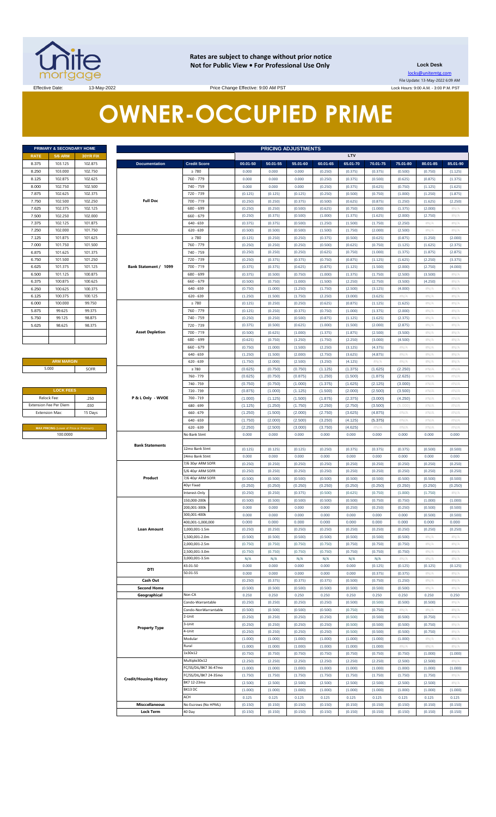

**Rates are subject to change without prior notice Not for Public View • For Professional Use Only Lock Desk**

locks@unitemtg.com File Update: 13-May-2022 6:09 AM Lock Hours: 9:00 A.M. - 3:00 P.M. PST

Effective Date: 13-May-2022 13-May-2022 Price Change Effective: 9:00 AM PST

# **OWNER-OCCUPIED PRIME**

| PRIMARY & SECONDARY HOME |                |                 |  |  |  |  |  |  |
|--------------------------|----------------|-----------------|--|--|--|--|--|--|
| <b>RATE</b>              | <b>5/6 ARM</b> | <b>30YR FIX</b> |  |  |  |  |  |  |
| 8.375                    | 103.125        | 102.875         |  |  |  |  |  |  |
| 8.250                    | 103.000        | 102.750         |  |  |  |  |  |  |
| 8.125                    | 102.875        | 102.625         |  |  |  |  |  |  |
| 8.000                    | 102.750        | 102.500         |  |  |  |  |  |  |
| 7.875                    | 102.625        | 102.375         |  |  |  |  |  |  |
| 7.750                    | 102.500        | 102.250         |  |  |  |  |  |  |
| 7.625                    | 102.375        | 102.125         |  |  |  |  |  |  |
| 7.500                    | 102.250        | 102.000         |  |  |  |  |  |  |
| 7.375                    | 102.125        | 101.875         |  |  |  |  |  |  |
| 7.250                    | 102.000        | 101.750         |  |  |  |  |  |  |
| 7.125                    | 101.875        | 101.625         |  |  |  |  |  |  |
| 7.000                    | 101.750        | 101.500         |  |  |  |  |  |  |
| 6.875                    | 101.625        | 101.375         |  |  |  |  |  |  |
| 6.750                    | 101.500        | 101.250         |  |  |  |  |  |  |
| 6.625                    | 101.375        | 101.125         |  |  |  |  |  |  |
| 6,500                    | 101.125        | 100.875         |  |  |  |  |  |  |
| 6.375                    | 100.875        | 100.625         |  |  |  |  |  |  |
| 6.250                    | 100.625        | 100.375         |  |  |  |  |  |  |
| 6.125                    | 100.375        | 100.125         |  |  |  |  |  |  |
| 6.000                    | 100,000        | 99.750          |  |  |  |  |  |  |
| 5.875                    | 99.625         | 99.375          |  |  |  |  |  |  |
| 5.750                    | 99.125         | 98.875          |  |  |  |  |  |  |
| 5.625                    | 98.625         | 98.375          |  |  |  |  |  |  |
|                          |                |                 |  |  |  |  |  |  |
|                          |                |                 |  |  |  |  |  |  |
|                          |                |                 |  |  |  |  |  |  |

## **ARM MARGIN** 5.000

| <b>LOCK FEES</b>                               |      |  |  |  |  |  |  |
|------------------------------------------------|------|--|--|--|--|--|--|
| Relock Fee:                                    | .250 |  |  |  |  |  |  |
| <b>Extension Fee Per Diem</b>                  | .030 |  |  |  |  |  |  |
| <b>Extension Max:</b><br>15 Days               |      |  |  |  |  |  |  |
|                                                |      |  |  |  |  |  |  |
| <b>MAX PRICING (Lower of Price or Premium)</b> |      |  |  |  |  |  |  |
| 100,0000                                       |      |  |  |  |  |  |  |

|                | PRIMARY & SECONDARY HOME                            |          |                                           |                                |                    | <b>PRICING ADJUSTMENTS</b> |                    |                    |                    |                    |                    |                    |                    |
|----------------|-----------------------------------------------------|----------|-------------------------------------------|--------------------------------|--------------------|----------------------------|--------------------|--------------------|--------------------|--------------------|--------------------|--------------------|--------------------|
| RATE           | <b>5/6 ARM</b>                                      | 30YR FIX |                                           |                                |                    |                            |                    |                    | <b>LTV</b>         |                    |                    |                    |                    |
| 8.375          | 103.125                                             | 102.875  | <b>Documentation</b>                      | <b>Credit Score</b>            | 00.01-50           | 50.01-55                   | 55.01-60           | 60.01-65           | 65.01-70           | 70.01-75           | 75.01-80           | 80.01-85           | 85.01-90           |
| 8.250          | 103.000                                             | 102.750  |                                           | $\geq 780$                     | 0.000              | 0.000                      | 0.000              | (0.250)            | (0.375)            | (0.375)            | (0.500)            | (0.750)            | (1.125)            |
| 8.125          | 102.875                                             | 102.625  |                                           | 760 - 779                      | 0.000              | 0.000                      | 0.000              | (0.250)            | (0.375)            | (0.500)            | (0.625)            | (0.875)            | (1.375)            |
| 8.000          | 102.750                                             | 102.500  |                                           | 740 - 759                      | 0.000              | 0.000                      | 0.000              | (0.250)            | (0.375)            | (0.625)            | (0.750)            | (1.125)            | (1.625)            |
| 7.875          | 102.625                                             | 102.375  |                                           | 720 - 739                      | (0.125)            | (0.125)                    | (0.125)            | (0.250)            | (0.500)            | (0.750)            | (1.000)            | (1.250)            | (1.875)            |
| 7.750          | 102.500                                             | 102.250  | <b>Full Doc</b>                           | 700 - 719                      | (0.250)            | (0.250)                    | (0.375)            |                    | (0.625)            | (0.875)            | (1.250)            | (1.625)            |                    |
|                |                                                     |          |                                           |                                |                    |                            |                    | (0.500)            |                    |                    |                    |                    | (2.250)            |
| 7.625          | 102.375                                             | 102.125  |                                           | 680 - 699                      | (0.250)            | (0.250)                    | (0.500)            | (0.625)            | (0.750)            | (1.000)            | (1.375)            | (2.000)            | #N/A               |
| 7.500          | 102.250                                             | 102.000  |                                           | $660 - 679$                    | (0.250)            | (0.375)                    | (0.500)            | (1.000)            | (1.375)            | (1.625)            | (2.000)            | (2.750)            | #N/A               |
| 7.375          | 102.125                                             | 101.875  |                                           | 640 - 659                      | (0.375)            | (0.375)                    | (0.500)            | (1.250)            | (1.500)            | (1.750)            | (2.250)            | H N/A              | #N/A               |
| 7.250          | 102.000                                             | 101.750  |                                           | $620 - 639$                    | (0.500)            | (0.500)                    | (0.500)            | (1.500)            | (1.750)            | (2.000)            | (2.500)            | $\#N/A$            | #N/A               |
| 7.125          | 101.875                                             | 101.625  |                                           | $\geq 780$                     | (0.125)            | (0.250)                    | (0.250)            | (0.375)            | (0.500)            | (0.625)            | (0.875)            | (1.250)            | (2.000)            |
| 7.000          | 101.750                                             | 101.500  |                                           | 760 - 779                      | (0.250)            | (0.250)                    | (0.250)            | (0.500)            | (0.625)            | (0.750)            | (1.125)            | (1.625)            | (2.375)            |
| 6.875          | 101.625                                             | 101.375  |                                           | 740 - 759                      | (0.250)            | (0.250)                    | (0.250)            | (0.625)            | (0.750)            | (1.000)            | (1.375)            | (1.875)            | (2.875)            |
| 6.750          | 101.500                                             | 101.250  |                                           | 720 - 739                      | (0.250)            | (0.375)                    | (0.375)            | (0.750)            | (0.875)            | (1.125)            | (1.625)            | (2.250)            | (3.375)            |
| 6.625          | 101.375                                             | 101.125  | Bank Statement / 1099                     | 700 - 719                      | (0.375)            | (0.375)                    | (0.625)            | (0.875)            | (1.125)            | (1.500)            | (2.000)            | (2.750)            | (4.000)            |
| 6.500          | 101.125                                             | 100.875  |                                           | 680 - 699                      | (0.375)            | (0.500)                    | (0.750)            | (1.000)            | (1.375)            | (1.750)            | (2.500)            | (3.500)            | #N/A               |
| 6.375          | 100.875                                             | 100.625  |                                           | $660 - 679$                    | (0.500)            | (0.750)                    | (1.000)            | (1.500)            | (2.250)            | (2.750)            | (3.500)            | (4.250)            | #N/A               |
| 6.250          | 100.625                                             | 100.375  |                                           | $640 - 659$                    | (0.750)            | (1.000)                    | (1.250)            | (1.750)            | (2.500)            | (3.125)            | (4.000)            | H N/A              | #N/A               |
| 6.125          | 100.375                                             | 100.125  |                                           | $620 - 639$                    | (1.250)            | (1.500)                    | (1.750)            | (2.250)            | (3.000)            | (3.625)            | H N/A              | #N/A               | #N/A               |
| 6.000          | 100.000                                             | 99.750   |                                           | $\geq 780$                     | (0.125)            | (0.250)                    | (0.250)            | (0.625)            | (0.875)            | (1.125)            | (1.625)            | $\#N/A$            | #N/A               |
|                |                                                     |          |                                           | 760 - 779                      |                    |                            |                    |                    |                    |                    |                    |                    |                    |
| 5.875          | 99.625                                              | 99.375   |                                           |                                | (0.125)            | (0.250)                    | (0.375)            | (0.750)            | (1.000)            | (1.375)            | (2.000)            | #N/A               | #N/A               |
| 5.750          | 99.125                                              | 98.875   |                                           | 740 - 759                      | (0.250)            | (0.250)                    | (0.500)            | (0.875)            | (1.125)            | (1.625)            | (2.375)            | $\#N/A$            | #N/A               |
| 5.625          | 98.625                                              | 98.375   |                                           | 720 - 739                      | (0.375)            | (0.500)                    | (0.625)            | (1.000)            | (1.500)            | (2.000)            | (2.875)            | #N/A               | #N/A               |
|                |                                                     |          | <b>Asset Depletion</b>                    | 700 - 719                      | (0.500)            | (0.625)                    | (1.000)            | (1.375)            | (1.875)            | (2.500)            | (3.500)            | $\#N/A$            | #N/A               |
|                |                                                     |          |                                           | 680 - 699                      | (0.625)            | (0.750)                    | (1.250)            | (1.750)            | (2.250)            | (3.000)            | (4.500)            | #N/A               | #N/A               |
|                |                                                     |          |                                           | $660 - 679$                    | (0.750)            | (1.000)                    | (1.500)            | (2.250)            | (3.125)            | (4.375)            | $\#N/A$            | H N/A              | #N/A               |
|                |                                                     |          |                                           | $640 - 659$                    | (1.250)            | (1.500)                    | (2.000)            | (2.750)            | (3.625)            | (4.875)            | H N/A              | #N/A               | #N/A               |
|                | <b>ARM MARGIN</b>                                   |          |                                           | $620 - 639$                    | (1.750)            | (2.000)                    | (2.500)            | (3.250)            | (4.125)            | $\#N/A$            | H N/A              | H N/A              | #N/A               |
| 5.000          |                                                     | SOFR     |                                           | $\geq 780$                     | (0.625)            | (0.750)                    | (0.750)            | (1.125)            | (1.375)            | (1.625)            | (2.250)            | #N/A               | #N/A               |
|                |                                                     |          |                                           | 760 - 779                      | (0.625)            | (0.750)                    | (0.875)            | (1.250)            | (1.500)            | (1.875)            | (2.625)            | #N/A               | #N/A               |
|                |                                                     |          |                                           | 740 - 759                      | (0.750)            | (0.750)                    | (1.000)            | (1.375)            | (1.625)            | (2.125)            | (3.000)            | #N/A               | #N/A               |
|                | <b>LOCK FEES</b>                                    |          | 720 - 739                                 | (0.875)                        | (1.000)            | (1.125)                    | (1.500)            | (2.000)            | (2.500)            | (3.500)            | #N/A               | #N/A               |                    |
| Relock Fee:    |                                                     | .250     | P & L Only - WVOE                         | 700 - 719                      | (1.000)            | (1.125)                    | (1.500)            | (1.875)            | (2.375)            | (3.000)            | (4.250)            | #N/A               | #N/A               |
|                | xtension Fee Per Diem                               | .030     |                                           | 680 - 699                      | (1.125)            | (1.250)                    | (1.750)            | (2.250)            | (2.750)            | (3.500)            | (5.000)            | #N/A               | #N/A               |
| Extension Max: |                                                     | 15 Days  |                                           | 660 - 679                      | (1.250)            | (1.500)                    | (2.000)            | (2.750)            | (3.625)            | (4.875)            | #N/A               | $\#N/A$            | #N/A               |
|                |                                                     |          |                                           | $640 - 659$                    | (1.750)            | (2.000)                    | (2.500)            | (3.250)            | (4.125)            | (5.375)            | #N/A               | #N/A               | #N/A               |
|                |                                                     |          |                                           | $620 - 639$                    | (2.250)            | (2.500)                    | (3.000)            | (3.750)            | (4.625)            | #N/A               | #N/A               | $\#N/A$            | #N/A               |
|                | MAX PRICING (Lower of Price or Premium)<br>100.0000 |          |                                           | <b>Jo Bank Stmt</b>            | 0.000              | 0.000                      | 0.000              | 0.000              | 0.000              | 0.000              | 0.000              | 0.000              | 0.000              |
|                |                                                     |          |                                           |                                |                    |                            |                    |                    |                    |                    |                    |                    |                    |
|                |                                                     |          | <b>Bank Statements</b>                    |                                |                    |                            |                    |                    |                    |                    |                    |                    |                    |
|                |                                                     |          |                                           | 12mo Bank Stmt                 | (0.125)            | (0.125)                    | (0.125)            | (0.250)            | (0.375)            | (0.375)            | (0.375)            | (0.500)            | (0.500)            |
|                |                                                     |          |                                           | 24mo Bank Stmt                 | 0.000              | 0.000                      | 0.000              | 0.000              | 0.000              | 0.000              | 0.000              | 0.000              | 0.000              |
|                |                                                     |          |                                           | 7/6 30yr ARM SOFR              | (0.250)            | (0.250)                    | (0.250)            | (0.250)            | (0.250)            | (0.250)            | (0.250)            | (0.250)            | (0.250)            |
|                |                                                     |          |                                           | 5/6 40yr ARM SOFR              | (0.250)            | (0.250)                    | (0.250)            | (0.250)            | (0.250)            | (0.250)            | (0.250)            | (0.250)            | (0.250)            |
|                |                                                     |          | Product                                   | 7/6 40yr ARM SOFR              | (0.500)            | (0.500)                    | (0.500)            | (0.500)            | (0.500)            | (0.500)            | (0.500)            | (0.500)            | (0.500)            |
|                |                                                     |          |                                           | 40yr Fixed                     | (0.250)            | (0.250)                    | (0.250)            | (0.250)            | (0.250)            | (0.250)            | (0.250)            | (0.250)            | (0.250)            |
|                |                                                     |          |                                           | Interest-Only                  | (0.250)            | (0.250)                    | (0.375)            | (0.500)            | (0.625)            | (0.750)            | (1.000)            | (1.750)            | #N/A               |
|                |                                                     |          |                                           | 150,000-200k                   | (0.500)            | (0.500)                    | (0.500)            | (0.500)            | (0.500)            | (0.750)            | (0.750)            | (1.000)            | (1.000)            |
|                |                                                     |          |                                           | 200,001-300k                   | 0.000              | 0.000                      | 0.000              | 0.000              | (0.250)            | (0.250)            | (0.250)            | (0.500)            | (0.500)            |
|                |                                                     |          |                                           | 300.001-400k                   | 0.000              | 0.000                      | 0.000              | 0.000              | 0.000              | 0.000              | 0.000              | (0.500)            | (0.500)            |
|                |                                                     |          |                                           | 400,001-1,000,000              | 0.000              | 0.000                      | 0.000              | 0.000              | 0.000              | 0.000              | 0.000              | 0.000              | 0.000              |
|                |                                                     |          | <b>Loan Amount</b>                        | ,000,001-1.5m                  | (0.250)            | (0.250)                    | (0.250)            | (0.250)            | (0.250)            | (0.250)            | (0.250)            | (0.250)            | (0.250)            |
|                |                                                     |          |                                           | .,500,001-2.0m                 | (0.500)            | (0.500)                    | (0.500)            | (0.500)            | (0.500)            | (0.500)            | (0.500)            | H N/A              | #N/A               |
|                |                                                     |          |                                           | 000,001-2.5m                   | (0.750)            | (0.750)                    | (0.750)            | (0.750)            | (0.750)            | (0.750)            | (0.750)            | $\#N/A$            | #N/A               |
|                |                                                     |          |                                           | 2,500,001-3.0m                 | (0.750)            | (0.750)                    | (0.750)            | (0.750)            | (0.750)            | (0.750)            | (0.750)            | $\#N/A$            | #N/A               |
|                |                                                     |          |                                           | 3,000,001-3.5m                 | N/A                | N/A                        | N/A                | N/A                | N/A                | N/A                | #N/A               | #N/A               | #N/A               |
|                |                                                     |          |                                           | 43.01-50                       | 0.000              | 0.000                      | 0.000              | 0.000              | 0.000              | (0.125)            | (0.125)            | (0.125)            | (0.125)            |
|                |                                                     |          | DTI                                       | 50.01-55                       | 0.000              | 0.000                      | 0.000              | 0.000              | 0.000              | (0.375)            | (0.375)            | H N/A              | #N/A               |
|                |                                                     |          | Cash Out                                  |                                | (0.250)            | (0.375)                    | (0.375)            | (0.375)            | (0.500)            | (0.750)            | (1.250)            | $\#N/A$            | #N/A               |
|                |                                                     |          | <b>Second Home</b>                        |                                |                    |                            |                    |                    |                    |                    |                    | H N/A              | #N/A               |
|                |                                                     |          |                                           |                                | (0.500)            | (0.500)                    | (0.500)            | (0.500)            | (0.500)            | (0.500)            | (0.500)            |                    |                    |
|                |                                                     |          | Geographical                              | Non-CA                         | 0.250              | 0.250                      | 0.250              | 0.250              | 0.250              | 0.250              | 0.250              | 0.250              | 0.250              |
|                |                                                     |          |                                           | Condo-Warrantable              | (0.250)            | (0.250)                    | (0.250)            | (0.250)            | (0.500)            | (0.500)            | (0.500)            | (0.500)            | #N/A               |
|                |                                                     |          |                                           | Condo-NonWarrantable           | (0.500)            | (0.500)                    | (0.500)            | (0.500)            | (0.750)            | (0.750)            | #N/A               | $\#N/A$            | #N/A               |
|                |                                                     |          |                                           | 2-Unit                         | (0.250)            | (0.250)                    | (0.250)            | (0.250)            | (0.500)            | (0.500)            | (0.500)            | (0.750)            | #N/A               |
|                |                                                     |          | <b>Property Type</b>                      | 3-Unit                         | (0.250)            | (0.250)                    | (0.250)            | (0.250)            | (0.500)            | (0.500)            | (0.500)            | (0.750)            | #N/A               |
|                |                                                     |          |                                           | 4-Unit                         | (0.250)            | (0.250)                    | (0.250)            | (0.250)            | (0.500)            | (0.500)            | (0.500)            | (0.750)            | #N/A               |
|                |                                                     |          |                                           | Modular                        | (1.000)            | (1.000)                    | (1.000)            | (1.000)            | (1.000)            | (1.000)            | (1.000)            | H N/A              | #N/A               |
|                |                                                     |          |                                           | Rural                          | (1.000)            | (1.000)                    | (1.000)            | (1.000)            | (1.000)            | (1.000)            | $\#N/A$            | $\#N/A$            | #N/A               |
|                |                                                     |          |                                           | 1x30x12                        | (0.750)            | (0.750)                    | (0.750)            | (0.750)            | (0.750)            | (0.750)            | (0.750)            | (1.000)            | (1.000)            |
|                |                                                     |          |                                           | Multiple30x12                  | (2.250)            | (2.250)                    | (2.250)            | (2.250)            | (2.250)            | (2.250)            | (2.500)            | (2.500)            | #N/A               |
|                |                                                     |          |                                           | FC/SS/DIL/BK7 36-47mo          | (1.000)            | (1.000)                    | (1.000)            | (1.000)            | (1.000)            | (1.000)            | (1.000)            | (1.000)            | (1.000)            |
|                |                                                     |          |                                           | FC/SS/DIL/BK7 24-35mo          | (1.750)            | (1.750)                    | (1.750)            | (1.750)            | (1.750)            | (1.750)            | (1.750)            | (1.750)            | #N/A               |
|                |                                                     |          | <b>Credit/Housing History</b>             | BK7 12-23mo                    | (2.500)            | (2.500)                    | (2.500)            | (2.500)            | (2.500)            | (2.500)            | (2.500)            | (2.500)            | #N/A               |
|                |                                                     |          |                                           | BK13 DC                        | (1.000)            | (1.000)                    | (1.000)            | (1.000)            | (1.000)            | (1.000)            | (1.000)            | (1.000)            | (1.000)            |
|                |                                                     |          |                                           |                                |                    |                            |                    |                    |                    |                    |                    |                    |                    |
|                |                                                     |          |                                           |                                |                    |                            |                    |                    |                    |                    |                    |                    |                    |
|                |                                                     |          |                                           | ACH                            | 0.125              | 0.125                      | 0.125              | 0.125              | 0.125              | 0.125              | 0.125              | 0.125              | 0.125              |
|                |                                                     |          | <b>Misccellaneous</b><br><b>Lock Term</b> | No Escrows (No HPML)<br>40 Day | (0.150)<br>(0.150) | (0.150)<br>(0.150)         | (0.150)<br>(0.150) | (0.150)<br>(0.150) | (0.150)<br>(0.150) | (0.150)<br>(0.150) | (0.150)<br>(0.150) | (0.150)<br>(0.150) | (0.150)<br>(0.150) |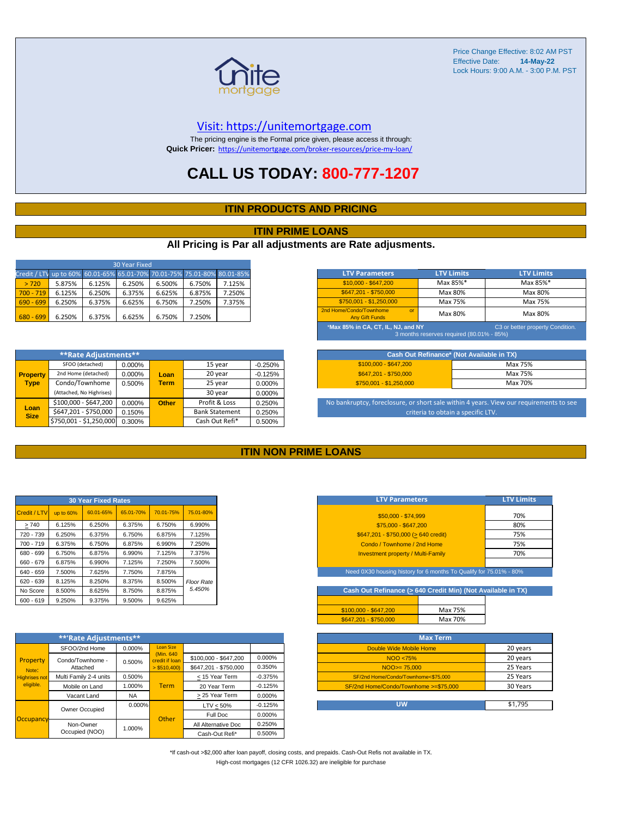

#### [V](https://unitemortgage.com/)isit: https://unitemortgage.com

The pricing engine is the Formal price given, please access it through: **Quick Pricer:** [https://un](https://unitemortgage.com/broker-resources/price-my-loan/)itemortgage.com/broker-resources/price-my-loan/

## **CALL US TODAY: 800-777-1207**

#### **ITIN PRODUCTS AND PRICING**

#### **ITIN PRIME LOANS**

#### **All Pricing is Par all adjustments are Rate adjusments.**

| 30 Year Fixed                                                            |        |        |        |        |        |        |  |  |  |
|--------------------------------------------------------------------------|--------|--------|--------|--------|--------|--------|--|--|--|
| Credit / LTV up to 60% 60.01-65% 65.01-70% 70.01-75% 75.01-80% 80.01-85% |        |        |        |        |        |        |  |  |  |
| > 720                                                                    | 5.875% | 6.125% | 6.250% | 6.500% | 6.750% | 7.125% |  |  |  |
| $700 - 719$                                                              | 6.125% | 6.250% | 6.375% | 6.625% | 6.875% | 7.250% |  |  |  |
| $690 - 699$                                                              | 6.250% | 6.375% | 6.625% | 6.750% | 7.250% | 7.375% |  |  |  |
| $680 - 699$                                                              | 6.250% | 6.375% | 6.625% | 6.750% | 7.250% |        |  |  |  |

|                     | **Rate Adjustments**     |        |              |                       |           |
|---------------------|--------------------------|--------|--------------|-----------------------|-----------|
|                     | SFOO (detached)          | 0.000% |              | 15 year               | $-0.250%$ |
| <b>Property</b>     | 2nd Home (detached)      | 0.000% | Loan         | 20 year               | $-0.125%$ |
| <b>Type</b>         | Condo/Townhome           | 0.500% | <b>Term</b>  | 25 year               | 0.000%    |
|                     | (Attached, No Highrises) |        |              | 30 year               | 0.000%    |
|                     | \$100,000 - \$647,200    | 0.000% | <b>Other</b> | Profit & Loss         | 0.250%    |
| Loan<br><b>Size</b> | \$647,201 - \$750,000    | 0.150% |              | <b>Bank Statement</b> | 0.250%    |
|                     | \$750,001 - \$1,250,000  | 0.300% |              | Cash Out Refi*        | 0.500%    |

| <b>LTV Parameters</b>                                                                                               | <b>LTV Limits</b> | <b>LTV Limits</b> |  |  |  |  |  |
|---------------------------------------------------------------------------------------------------------------------|-------------------|-------------------|--|--|--|--|--|
| \$10,000 - \$647,200                                                                                                | Max 85%*          | Max 85%*          |  |  |  |  |  |
| \$647.201 - \$750.000                                                                                               | Max 80%           | Max 80%           |  |  |  |  |  |
| \$750.001 - \$1.250.000                                                                                             | Max 75%           | Max 75%           |  |  |  |  |  |
| 2nd Home/Condo/Townhome<br>$\alpha$<br><b>Any Gift Funds</b>                                                        | Max 80%           | Max 80%           |  |  |  |  |  |
| *Max 85% in CA, CT, IL, NJ, and NY<br>C3 or better property Condition.<br>3 months reserves required (80.01% - 85%) |                   |                   |  |  |  |  |  |

|                         | Cash Out Refinance* (Not Available in TX) |
|-------------------------|-------------------------------------------|
| $$100.000 - $647.200$   | Max 75%                                   |
| \$647.201 - \$750.000   | Max 75%                                   |
| $$750,001 - $1,250,000$ | Max 70%                                   |

No bankruptcy, foreclosure, or short sale within 4 years. View our requirements to see criteria to obtain a specific LTV.

#### **ITIN NON PRIME LOANS**

| <b>30 Year Fixed Rates</b> |           |           |           |           |                   |  |  |  |  |
|----------------------------|-----------|-----------|-----------|-----------|-------------------|--|--|--|--|
| Credit / LTV               | up to 60% | 60.01-65% | 65.01-70% | 70.01-75% | 75.01-80%         |  |  |  |  |
| >740                       | 6.125%    | 6.250%    | 6.375%    | 6.750%    | 6.990%            |  |  |  |  |
| 720 - 739                  | 6.250%    | 6.375%    | 6.750%    | 6.875%    | 7.125%            |  |  |  |  |
| $700 - 719$                | 6.375%    | 6.750%    | 6.875%    | 6.990%    | 7.250%            |  |  |  |  |
| 680 - 699                  | 6.750%    | 6.875%    | 6.990%    | 7.125%    | 7.375%            |  |  |  |  |
| 660 - 679                  | 6.875%    | 6.990%    | 7.125%    | 7.250%    | 7.500%            |  |  |  |  |
| 640 - 659                  | 7.500%    | 7.625%    | 7.750%    | 7.875%    |                   |  |  |  |  |
| $620 - 639$                | 8.125%    | 8.250%    | 8.375%    | 8.500%    | <b>Floor Rate</b> |  |  |  |  |
| No Score                   | 8.500%    | 8.625%    | 8.750%    | 8.875%    | 5.450%            |  |  |  |  |
| $600 - 619$                | 9.250%    | 9.375%    | 9.500%    | 9.625%    |                   |  |  |  |  |

|                                            | **'Rate Adjustments**  |           |                              |                       |           |
|--------------------------------------------|------------------------|-----------|------------------------------|-----------------------|-----------|
|                                            | SFOO/2nd Home          | 0.000%    | <b>Loan Size</b>             |                       |           |
| Property                                   | Condo/Townhome -       | 0.500%    | (Min. 640)<br>credit if loan | \$100,000 - \$647,200 | 0.000%    |
| Note:<br><b>Highrises not</b><br>eligible. | Attached               |           | $>$ \$510,400)               | \$647.201 - \$750.000 | 0.350%    |
|                                            | Multi Family 2-4 units | 0.500%    |                              | < 15 Year Term        | $-0.375%$ |
|                                            | Mobile on Land         | 1.000%    | <b>Term</b>                  | 20 Year Term          | $-0.125%$ |
|                                            | Vacant Land            | <b>NA</b> |                              | > 25 Year Term        | 0.000%    |
|                                            | Owner Occupied         | $0.000\%$ |                              | $LTV < 50\%$          | $-0.125%$ |
|                                            |                        |           | Other                        | Full Doc              | 0.000%    |
| Occupancy                                  | Non-Owner              | 1.000%    |                              | All Alternative Doc   | 0.250%    |
|                                            | Occupied (NOO)         |           |                              | Cash-Out Refi*        | 0.500%    |

| <b>LTV Parameters</b>                     | <b>LTV Limits</b> |
|-------------------------------------------|-------------------|
| \$50,000 - \$74.999                       | 70%               |
| \$75,000 - \$647,200                      | 80%               |
| \$647,201 - \$750,000 (> 640 credit)      | 75%               |
| Condo / Townhome / 2nd Home               | 75%               |
| <b>Investment property / Multi-Family</b> | 70%               |
|                                           |                   |

Need 0X30 housing history for 6 months To Qualify for 75.01% - 80

**Cash Out Refinance (> 640 Credit Min) (Not Available in TX)**

|                       | Max 75% |
|-----------------------|---------|
| \$647.201 - \$750.000 | Max 70% |

| <b>Max Term</b>                       |          |
|---------------------------------------|----------|
| Double Wide Mobile Home               | 20 years |
| NOO <75%                              | 20 years |
| $NOO > = 75.000$                      | 25 Years |
| SF/2nd Home/Condo/Townhome<\$75,000   | 25 Years |
| SF/2nd Home/Condo/Townhome >=\$75,000 | 30 Years |
|                                       |          |
| UW                                    | \$1.795  |

\*If cash-out >\$2,000 after loan payoff, closing costs, and prepaids. Cash-Out Refis not available in TX. High-cost mortgages (12 CFR 1026.32) are ineligible for purchase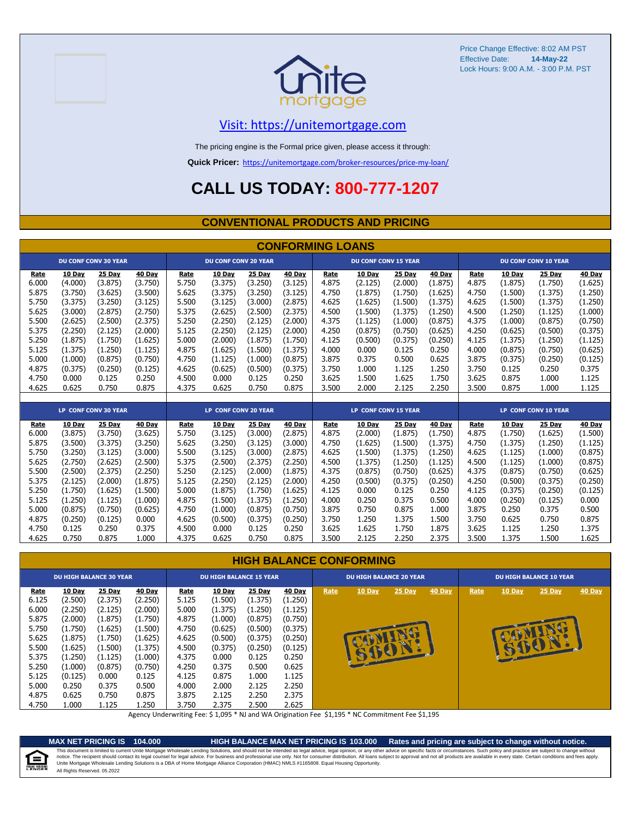



### [V](https://unitemortgage.com/)isit: https://unitemortgage.com

The pricing engine is the Formal price given, please access it through:

**Quick Pricer:** [https://un](https://unitemortgage.com/broker-resources/price-my-loan/)itemortgage.com/broker-resources/price-my-loan/

# **CALL US TODAY: 800-777-1207**

#### **CONVENTIONAL PRODUCTS AND PRICING**

|       | <b>CONFORMING LOANS</b> |                             |         |       |                             |         |         |       |                             |         |         |       |         |                             |         |
|-------|-------------------------|-----------------------------|---------|-------|-----------------------------|---------|---------|-------|-----------------------------|---------|---------|-------|---------|-----------------------------|---------|
|       |                         | <b>DU CONF CONV 30 YEAR</b> |         |       | <b>DU CONF CONV 20 YEAR</b> |         |         |       | <b>DU CONF CONV 15 YEAR</b> |         |         |       |         | <b>DU CONF CONV 10 YEAR</b> |         |
| Rate  | 10 Day                  | 25 Day                      | 40 Day  | Rate  | 10 Day                      | 25 Day  | 40 Day  | Rate  | <b>10 Day</b>               | 25 Day  | 40 Day  | Rate  | 10 Day  | 25 Day                      | 40 Day  |
| 6.000 | (4.000)                 | (3.875)                     | (3.750) | 5.750 | (3.375)                     | (3.250) | (3.125) | 4.875 | (2.125)                     | (2.000) | (1.875) | 4.875 | (1.875) | (1.750)                     | (1.625) |
| 5.875 | (3.750)                 | (3.625)                     | (3.500) | 5.625 | (3.375)                     | (3.250) | (3.125) | 4.750 | (1.875)                     | (1.750) | (1.625) | 4.750 | (1.500) | (1.375)                     | (1.250) |
| 5.750 | (3.375)                 | (3.250)                     | (3.125) | 5.500 | (3.125)                     | (3.000) | (2.875) | 4.625 | (1.625)                     | (1.500) | (1.375) | 4.625 | (1.500) | (1.375)                     | (1.250) |
| 5.625 | (3.000)                 | (2.875)                     | (2.750) | 5.375 | (2.625)                     | (2.500) | (2.375) | 4.500 | (1.500)                     | (1.375) | (1.250) | 4.500 | (1.250) | (1.125)                     | (1.000) |
| 5.500 | (2.625)                 | (2.500)                     | (2.375) | 5.250 | (2.250)                     | (2.125) | (2.000) | 4.375 | (1.125)                     | (1.000) | (0.875) | 4.375 | (1.000) | (0.875)                     | (0.750) |
| 5.375 | (2.250)                 | (2.125)                     | (2.000) | 5.125 | (2.250)                     | (2.125) | (2.000) | 4.250 | (0.875)                     | (0.750) | (0.625) | 4.250 | (0.625) | (0.500)                     | (0.375) |
| 5.250 | (1.875)                 | (1.750)                     | (1.625) | 5.000 | (2.000)                     | (1.875) | (1.750) | 4.125 | (0.500)                     | (0.375) | (0.250) | 4.125 | (1.375) | (1.250)                     | (1.125) |
| 5.125 | (1.375)                 | (1.250)                     | (1.125) | 4.875 | (1.625)                     | (1.500) | (1.375) | 4.000 | 0.000                       | 0.125   | 0.250   | 4.000 | (0.875) | (0.750)                     | (0.625) |
| 5.000 | (1.000)                 | (0.875)                     | (0.750) | 4.750 | (1.125)                     | (1.000) | (0.875) | 3.875 | 0.375                       | 0.500   | 0.625   | 3.875 | (0.375) | (0.250)                     | (0.125) |
| 4.875 | (0.375)                 | (0.250)                     | (0.125) | 4.625 | (0.625)                     | (0.500) | (0.375) | 3.750 | 1.000                       | 1.125   | 1.250   | 3.750 | 0.125   | 0.250                       | 0.375   |
| 4.750 | 0.000                   | 0.125                       | 0.250   | 4.500 | 0.000                       | 0.125   | 0.250   | 3.625 | 1.500                       | 1.625   | 1.750   | 3.625 | 0.875   | 1.000                       | 1.125   |
| 4.625 | 0.625                   | 0.750                       | 0.875   | 4.375 | 0.625                       | 0.750   | 0.875   | 3.500 | 2.000                       | 2.125   | 2.250   | 3.500 | 0.875   | 1.000                       | 1.125   |
|       |                         |                             |         |       |                             |         |         |       |                             |         |         |       |         |                             |         |
|       |                         | LP CONF CONV 30 YEAR        |         |       | <b>LP CONF CONV 20 YEAR</b> |         |         |       | <b>LP CONF CONV 15 YEAR</b> |         |         |       |         | <b>LP CONF CONV 10 YEAR</b> |         |
| Rate  | 10 Day                  | 25 Day                      | 40 Day  | Rate  | <b>10 Day</b>               | 25 Day  | 40 Day  | Rate  | 10 Day                      | 25 Day  | 40 Day  | Rate  | 10 Day  | 25 Day                      | 40 Day  |
| 6.000 | (3.875)                 | (3.750)                     | (3.625) | 5.750 | (3.125)                     | (3.000) | (2.875) | 4.875 | (2.000)                     | (1.875) | (1.750) | 4.875 | (1.750) | (1.625)                     | (1.500) |
| 5.875 | (3,500)                 | (3.375)                     | (3.250) | 5.625 | (3.250)                     | (3.125) | (3.000) | 4.750 | (1.625)                     | (1.500) | (1.375) | 4.750 | (1.375) | (1.250)                     | (1.125) |
| 5.750 | (3.250)                 | (3.125)                     | (3.000) | 5.500 | (3.125)                     | (3.000) | (2.875) | 4.625 | (1.500)                     | (1.375) | (1.250) | 4.625 | (1.125) | (1.000)                     | (0.875) |
| 5.625 | (2.750)                 | (2.625)                     | (2.500) | 5.375 | (2.500)                     | (2.375) | (2.250) | 4.500 | (1.375)                     | (1.250) | (1.125) | 4.500 | (1.125) | (1.000)                     | (0.875) |
| 5.500 | (2.500)                 | (2.375)                     | (2.250) | 5.250 | (2.125)                     | (2.000) | (1.875) | 4.375 | (0.875)                     | (0.750) | (0.625) | 4.375 | (0.875) | (0.750)                     | (0.625) |
| 5.375 | (2.125)                 | (2.000)                     | (1.875) | 5.125 | (2.250)                     | (2.125) | (2.000) | 4.250 | (0.500)                     | (0.375) | (0.250) | 4.250 | (0.500) | (0.375)                     | (0.250) |
| 5.250 | (1.750)                 | (1.625)                     | (1.500) | 5.000 | (1.875)                     | (1.750) | (1.625) | 4.125 | 0.000                       | 0.125   | 0.250   | 4.125 | (0.375) | (0.250)                     | (0.125) |
| 5.125 | (1.250)                 | (1.125)                     | (1.000) | 4.875 | (1.500)                     | (1.375) | (1.250) | 4.000 | 0.250                       | 0.375   | 0.500   | 4.000 | (0.250) | (0.125)                     | 0.000   |
| 5.000 | (0.875)                 | (0.750)                     | (0.625) | 4.750 | (1.000)                     | (0.875) | (0.750) | 3.875 | 0.750                       | 0.875   | 1.000   | 3.875 | 0.250   | 0.375                       | 0.500   |
| 4.875 | (0.250)                 | (0.125)                     | 0.000   | 4.625 | (0.500)                     | (0.375) | (0.250) | 3.750 | 1.250                       | 1.375   | 1.500   | 3.750 | 0.625   | 0.750                       | 0.875   |
| 4.750 | 0.125                   | 0.250                       | 0.375   | 4.500 | 0.000                       | 0.125   | 0.250   | 3.625 | 1.625                       | 1.750   | 1.875   | 3.625 | 1.125   | 1.250                       | 1.375   |
| 4.625 | 0.750                   | 0.875                       | 1.000   | 4.375 | 0.625                       | 0.750   | 0.875   | 3.500 | 2.125                       | 2.250   | 2.375   | 3.500 | 1.375   | 1.500                       | 1.625   |

#### **HIGH BALANCE CONFORMING**

|             | <b>DU HIGH BALANCE 30 YEAR</b> |         |               |             | <b>DU HIGH BALANCE 15 YEAR</b> |               |         | <b>DU HIGH BALANCE 20 YEAR</b> |               |          |        | <b>DU HIGH BALANCE 10 YEAR</b> |               |          |               |  |
|-------------|--------------------------------|---------|---------------|-------------|--------------------------------|---------------|---------|--------------------------------|---------------|----------|--------|--------------------------------|---------------|----------|---------------|--|
| <b>Rate</b> | 10 Day                         | 25 Day  | <b>40 Day</b> | <b>Rate</b> | <b>10 Day</b>                  | <b>25 Day</b> | 40 Day  | Rate                           | <b>10 Day</b> | $25$ Day | 40 Day | Rate                           | <b>10 Day</b> | $25$ Day | <b>40 Day</b> |  |
| 6.125       | (2.500)                        | (2.375) | (2.250)       | 5.125       | (1.500)                        | (1.375)       | (1.250) |                                |               |          |        |                                |               |          |               |  |
| 6.000       | (2.250)                        | (2.125) | (2.000)       | 5.000       | (1.375)                        | (1.250)       | (1.125) |                                |               |          |        |                                |               |          |               |  |
| 5.875       | (2.000)                        | (1.875) | (1.750)       | 4.875       | (1.000)                        | (0.875)       | (0.750) |                                |               |          |        |                                |               |          |               |  |
| 5.750       | (1.750)                        | (1.625) | (1.500)       | 4.750       | (0.625)                        | (0.500)       | (0.375) |                                |               |          |        |                                |               |          |               |  |
| 5.625       | (1.875)                        | (1.750) | (1.625)       | 4.625       | (0.500)                        | (0.375)       | (0.250) |                                |               |          |        |                                |               |          |               |  |
| 5.500       | (1.625)                        | (1.500) | (1.375)       | 4.500       | (0.375)                        | (0.250)       | (0.125) |                                | STEPT T       |          |        |                                |               |          |               |  |
| 5.375       | (1.250)                        | (1.125) | (1.000)       | 4.375       | 0.000                          | 0.125         | 0.250   |                                |               |          |        |                                |               |          |               |  |
| 5.250       | (1.000)                        | (0.875) | (0.750)       | 4.250       | 0.375                          | 0.500         | 0.625   |                                |               |          |        |                                |               |          |               |  |
| 5.125       | (0.125)                        | 0.000   | 0.125         | 4.125       | 0.875                          | 1.000         | 1.125   |                                |               |          |        |                                |               |          |               |  |
| 5.000       | 0.250                          | 0.375   | 0.500         | 4.000       | 2.000                          | 2.125         | 2.250   |                                |               |          |        |                                |               |          |               |  |
| 4.875       | 0.625                          | 0.750   | 0.875         | 3.875       | 2.125                          | 2.250         | 2.375   |                                |               |          |        |                                |               |          |               |  |
| 4.750       | 1.000                          | 1.125   | 1.250         | 3.750       | 2.375                          | 2.500         | 2.625   |                                |               |          |        |                                |               |          |               |  |

Agency Underwriting Fee: \$ 1,095 \* NJ and WA Origination Fee \$1,195 \* NC Commitment Fee \$1,195



**MAX NET PRICING IS 104.000 HIGH BALANCE MAX NET PRICING IS 103.000 Rates and pricing are subject to change without notice.** All Rights Reserved. 05.2022 This document is limited to current Unite Mortgage Wholesale Lending Solutions, and should not be intended as legal advice, legal opinion, or any other advice on specific facts or circumstances. Such policy and practice ar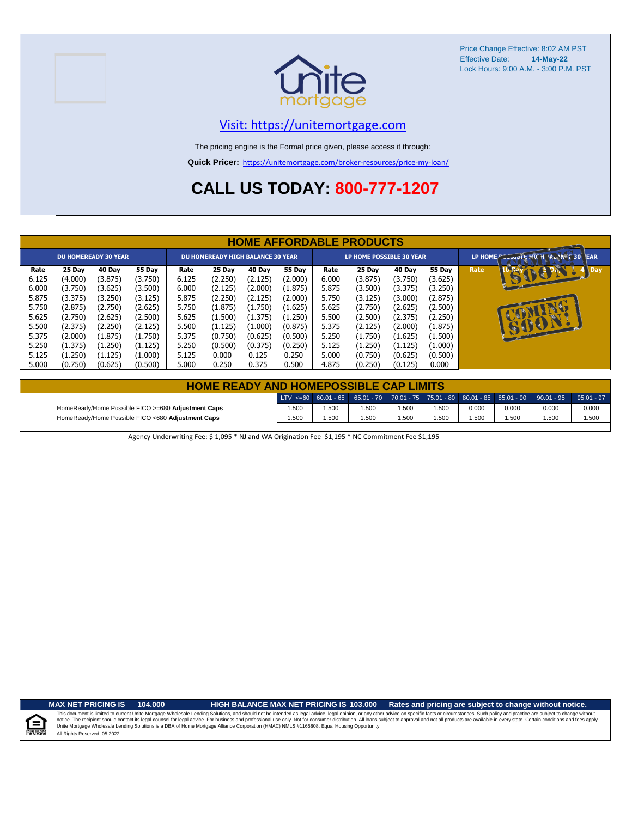



### [V](https://unitemortgage.com/)isit: https://unitemortgage.com

The pricing engine is the Formal price given, please access it through:

**Quick Pricer:** [https://un](https://unitemortgage.com/broker-resources/price-my-loan/)itemortgage.com/broker-resources/price-my-loan/

# **CALL US TODAY: 800-777-1207**

|                                                                              | <b>HOME AFFORDABLE PRODUCTS</b>                                                                |                                                                                                |                                                                                                |                                                                              |                                                                                                |                                                                                                |                                                                                                |                                                                              |                                                                                                |                                                                                                |                                                                                                       |      |                                     |  |  |
|------------------------------------------------------------------------------|------------------------------------------------------------------------------------------------|------------------------------------------------------------------------------------------------|------------------------------------------------------------------------------------------------|------------------------------------------------------------------------------|------------------------------------------------------------------------------------------------|------------------------------------------------------------------------------------------------|------------------------------------------------------------------------------------------------|------------------------------------------------------------------------------|------------------------------------------------------------------------------------------------|------------------------------------------------------------------------------------------------|-------------------------------------------------------------------------------------------------------|------|-------------------------------------|--|--|
|                                                                              |                                                                                                | <b>DU HOMEREADY 30 YEAR</b>                                                                    |                                                                                                | <b>DU HOMEREADY HIGH BALANCE 30 YEAR</b>                                     |                                                                                                |                                                                                                |                                                                                                | <b>LP HOME POSSIBLE 30 YEAR</b>                                              |                                                                                                |                                                                                                |                                                                                                       |      | LP HOME COOLDLE PICH MANNET 30 TEAR |  |  |
| Rate<br>6.125<br>6.000<br>5.875<br>5.750<br>5.625<br>5.500<br>5.375<br>5.250 | 25 Day<br>(4.000)<br>(3.750)<br>(3.375)<br>(2.875)<br>(2.750)<br>(2.375)<br>(2.000)<br>(1.375) | 40 Day<br>(3.875)<br>(3.625)<br>(3.250)<br>(2.750)<br>(2.625)<br>(2.250)<br>(1.875)<br>(1.250) | 55 Day<br>(3.750)<br>(3.500)<br>(3.125)<br>(2.625)<br>(2.500)<br>(2.125)<br>(1.750)<br>(1.125) | Rate<br>6.125<br>6.000<br>5.875<br>5.750<br>5.625<br>5.500<br>5.375<br>5.250 | 25 Day<br>(2.250)<br>(2.125)<br>(2.250)<br>(1.875)<br>(1.500)<br>(1.125)<br>(0.750)<br>(0.500) | 40 Day<br>(2.125)<br>(2.000)<br>(2.125)<br>(1.750)<br>(1.375)<br>(1.000)<br>(0.625)<br>(0.375) | 55 Day<br>(2.000)<br>(1.875)<br>(2.000)<br>(1.625)<br>(1.250)<br>(0.875)<br>(0.500)<br>(0.250) | Rate<br>6.000<br>5.875<br>5.750<br>5.625<br>5.500<br>5.375<br>5.250<br>5.125 | 25 Day<br>(3.875)<br>(3.500)<br>(3.125)<br>(2.750)<br>(2.500)<br>(2.125)<br>(1.750)<br>(1.250) | 40 Day<br>(3.750)<br>(3.375)<br>(3.000)<br>(2.625)<br>(2.375)<br>(2.000)<br>(1.625)<br>(1.125) | <b>55 Day</b><br>(3.625)<br>(3.250)<br>(2.875)<br>(2.500)<br>(2.250)<br>(1.875)<br>(1.500)<br>(1.000) | Rate | Day<br>BUCH                         |  |  |
| 5.125<br>5.000                                                               | (1.250)<br>(0.750)                                                                             | (1.125)<br>(0.625)                                                                             | (1.000)<br>(0.500)                                                                             | 5.125<br>5.000                                                               | 0.000<br>0.250                                                                                 | 0.125<br>0.375                                                                                 | 0.250<br>0.500                                                                                 | 5.000<br>4.875                                                               | (0.750)<br>(0.250)                                                                             | (0.625)<br>(0.125)                                                                             | (0.500)<br>0.000                                                                                      |      |                                     |  |  |

| <b>HOME READY AND HOMEPOSSIBLE CAP LIMITS</b>      |      |       |      |       |      |       |       |                                                                                       |              |  |  |  |  |
|----------------------------------------------------|------|-------|------|-------|------|-------|-------|---------------------------------------------------------------------------------------|--------------|--|--|--|--|
|                                                    |      |       |      |       |      |       |       | LTV <=60 60.01 - 65 65.01 - 70 70.01 - 75 75.01 - 80 80.01 - 85 85.01 - 90 90.01 - 95 | $95.01 - 97$ |  |  |  |  |
| HomeReady/Home Possible FICO >=680 Adjustment Caps | .500 | .500  | .500 | 1.500 | .500 | 0.000 | 0.000 | 0.000                                                                                 | 0.000        |  |  |  |  |
| HomeReady/Home Possible FICO <680 Adjustment Caps  | .500 | 1.500 | .500 | .500  | .500 | .500  | 500،، | .500                                                                                  | 1.500        |  |  |  |  |

Agency Underwriting Fee: \$ 1,095 \* NJ and WA Origination Fee \$1,195 \* NC Commitment Fee \$1,195

E

**MAX NET PRICING IS 104.000 HIGH BALANCE MAX NET PRICING IS 103.000 Rates and pricing are subject to change without notice.**

All Rights Reserved. 05.2022 This document is limited to current Unite Mortgage Wholesale Lending Solutions, and should not be intended as legal advice, legal opinion, or any other advice on specific facts or circumstances. Such policy and practice ar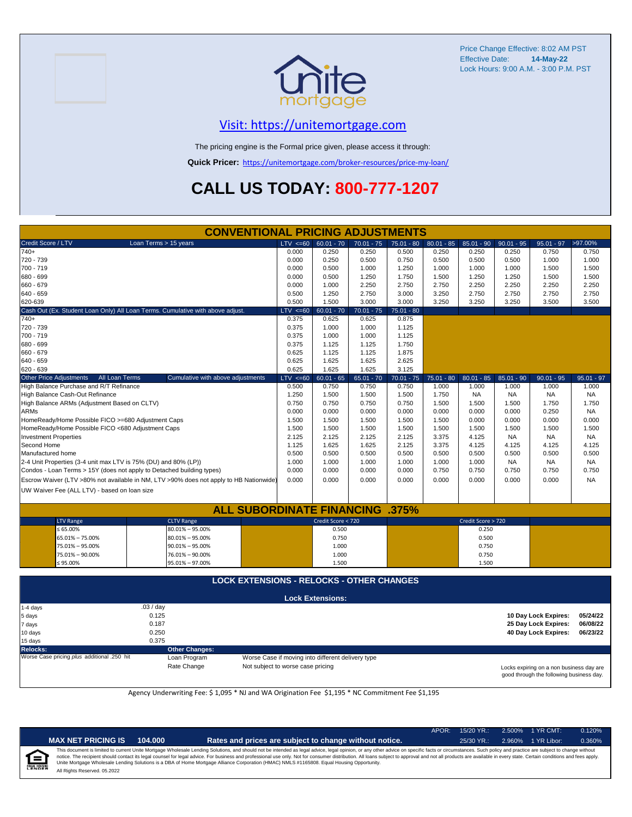

### [V](https://unitemortgage.com/)isit: https://unitemortgage.com

The pricing engine is the Formal price given, please access it through:

**Quick Pricer:** [https://un](https://unitemortgage.com/broker-resources/price-my-loan/)itemortgage.com/broker-resources/price-my-loan/

# **CALL US TODAY: 800-777-1207**

|                                | <b>CONVENTIONAL PRICING ADJUSTMENTS</b>            |                                                                                        |              |                         |              |              |              |                    |              |                      |              |  |  |
|--------------------------------|----------------------------------------------------|----------------------------------------------------------------------------------------|--------------|-------------------------|--------------|--------------|--------------|--------------------|--------------|----------------------|--------------|--|--|
| Credit Score / LTV             |                                                    | Loan Terms > 15 years                                                                  | $LTV \le 60$ | $60.01 - 70$            | $70.01 - 75$ | $75.01 - 80$ | $80.01 - 85$ | $85.01 - 90$       | $90.01 - 95$ | $95.01 - 97$         | >97.00%      |  |  |
| 740+                           |                                                    |                                                                                        | 0.000        | 0.250                   | 0.250        | 0.500        | 0.250        | 0.250              | 0.250        | 0.750                | 0.750        |  |  |
| 720 - 739                      |                                                    |                                                                                        | 0.000        | 0.250                   | 0.500        | 0.750        | 0.500        | 0.500              | 0.500        | 1.000                | 1.000        |  |  |
| 700 - 719                      |                                                    |                                                                                        | 0.000        | 0.500                   | 1.000        | 1.250        | 1.000        | 1.000              | 1.000        | 1.500                | 1.500        |  |  |
| 680 - 699                      |                                                    |                                                                                        | 0.000        | 0.500                   | 1.250        | 1.750        | 1.500        | 1.250              | 1.250        | 1.500                | 1.500        |  |  |
| 660 - 679                      |                                                    |                                                                                        | 0.000        | 1.000                   | 2.250        | 2.750        | 2.750        | 2.250              | 2.250        | 2.250                | 2.250        |  |  |
| 640 - 659                      |                                                    |                                                                                        | 0.500        | 1.250                   | 2.750        | 3.000        | 3.250        | 2.750              | 2.750        | 2.750                | 2.750        |  |  |
| 620-639                        |                                                    |                                                                                        | 0.500        | 1.500                   | 3.000        | 3.000        | 3.250        | 3.250              | 3.250        | 3.500                | 3.500        |  |  |
|                                |                                                    | Cash Out (Ex. Student Loan Only) All Loan Terms. Cumulative with above adjust.         | $LTV < =60$  | $60.01 - 70$            | $70.01 - 75$ | $75.01 - 80$ |              |                    |              |                      |              |  |  |
| $740+$                         |                                                    |                                                                                        | 0.375        | 0.625                   | 0.625        | 0.875        |              |                    |              |                      |              |  |  |
| 720 - 739                      |                                                    |                                                                                        | 0.375        | 1.000                   | 1.000        | 1.125        |              |                    |              |                      |              |  |  |
| 700 - 719                      |                                                    |                                                                                        | 0.375        | 1.000                   | 1.000        | 1.125        |              |                    |              |                      |              |  |  |
| 680 - 699                      |                                                    |                                                                                        | 0.375        | 1.125                   | 1.125        | 1.750        |              |                    |              |                      |              |  |  |
| 660 - 679                      |                                                    |                                                                                        | 0.625        | 1.125                   | 1.125        | 1.875        |              |                    |              |                      |              |  |  |
| 640 - 659                      |                                                    |                                                                                        | 0.625        | 1.625                   | 1.625        | 2.625        |              |                    |              |                      |              |  |  |
| 620 - 639                      |                                                    |                                                                                        | 0.625        | 1.625                   | 1.625        | 3.125        |              |                    |              |                      |              |  |  |
| <b>Other Price Adjustments</b> | All Loan Terms                                     | Cumulative with above adjustments                                                      | $LTV \le 60$ | $60.01 - 65$            | $65.01 - 70$ | $70.01 - 75$ | $75.01 - 80$ | $80.01 - 85$       | $85.01 - 90$ | $90.01 - 95$         | $95.01 - 97$ |  |  |
|                                | High Balance Purchase and R/T Refinance            |                                                                                        | 0.500        | 0.750                   | 0.750        | 0.750        | 1.000        | 1.000              | 1.000        | 1.000                | 1.000        |  |  |
|                                | High Balance Cash-Out Refinance                    |                                                                                        | 1.250        | 1.500                   | 1.500        | 1.500        | 1.750        | <b>NA</b>          | <b>NA</b>    | <b>NA</b>            | <b>NA</b>    |  |  |
|                                | High Balance ARMs (Adjustment Based on CLTV)       |                                                                                        | 0.750        | 0.750                   | 0.750        | 0.750        | 1.500        | 1.500              | 1.500        | 1.750                | 1.750        |  |  |
| <b>ARMs</b>                    |                                                    |                                                                                        | 0.000        | 0.000                   | 0.000        | 0.000        | 0.000        | 0.000              | 0.000        | 0.250                | <b>NA</b>    |  |  |
|                                | HomeReady/Home Possible FICO >=680 Adjustment Caps |                                                                                        | 1.500        | 1.500                   | 1.500        | 1.500        | 1.500        | 0.000              | 0.000        | 0.000                | 0.000        |  |  |
|                                | HomeReady/Home Possible FICO <680 Adjustment Caps  |                                                                                        | 1.500        | 1.500                   | 1.500        | 1.500        | 1.500        | 1.500              | 1.500        | 1.500                | 1.500        |  |  |
| <b>Investment Properties</b>   |                                                    |                                                                                        | 2.125        | 2.125                   | 2.125        | 2.125        | 3.375        | 4.125              | <b>NA</b>    | <b>NA</b>            | <b>NA</b>    |  |  |
| Second Home                    |                                                    |                                                                                        | 1.125        | 1.625                   | 1.625        | 2.125        | 3.375        | 4.125              | 4.125        | 4.125                | 4.125        |  |  |
| Manufactured home              |                                                    |                                                                                        | 0.500        | 0.500                   | 0.500        | 0.500        | 0.500        | 0.500              | 0.500        | 0.500                | 0.500        |  |  |
|                                |                                                    | 2-4 Unit Properties (3-4 unit max LTV is 75% (DU) and 80% (LP))                        | 1.000        | 1.000                   | 1.000        | 1.000        | 1.000        | 1.000              | <b>NA</b>    | <b>NA</b>            | <b>NA</b>    |  |  |
|                                |                                                    | Condos - Loan Terms > 15Y (does not apply to Detached building types)                  | 0.000        | 0.000                   | 0.000        | 0.000        | 0.750        | 0.750              | 0.750        | 0.750                | 0.750        |  |  |
|                                |                                                    | Escrow Waiver (LTV >80% not available in NM, LTV >90% does not apply to HB Nationwide) | 0.000        | 0.000                   | 0.000        | 0.000        | 0.000        | 0.000              | 0.000        | 0.000                | <b>NA</b>    |  |  |
|                                |                                                    |                                                                                        |              |                         |              |              |              |                    |              |                      |              |  |  |
|                                | UW Waiver Fee (ALL LTV) - based on loan size       |                                                                                        |              |                         |              |              |              |                    |              |                      |              |  |  |
|                                |                                                    | <b>ALL SUBORDINATE FINANCING</b>                                                       |              |                         |              | .375%        |              |                    |              |                      |              |  |  |
|                                | <b>LTV Range</b>                                   | <b>CLTV</b> Range                                                                      |              | Credit Score < 720      |              |              |              | Credit Score > 720 |              |                      |              |  |  |
|                                | $\leq 65.00\%$                                     | $80.01\% - 95.00\%$                                                                    |              | 0.500                   |              |              |              | 0.250              |              |                      |              |  |  |
|                                |                                                    |                                                                                        |              |                         |              |              |              |                    |              |                      |              |  |  |
|                                | 65.01% - 75.00%                                    | $80.01\% - 95.00\%$                                                                    |              | 0.750                   |              |              |              | 0.500              |              |                      |              |  |  |
|                                | 75.01% - 95.00%                                    | $90.01\% - 95.00\%$                                                                    |              | 1.000                   |              |              |              | 0.750              |              |                      |              |  |  |
|                                | 75.01% - 90.00%                                    | 76.01% - 90.00%                                                                        |              | 1.000                   |              |              |              | 0.750              |              |                      |              |  |  |
|                                | ≤ 95.00%                                           | $95.01\% - 97.00\%$                                                                    |              | 1.500                   |              |              |              | 1.500              |              |                      |              |  |  |
|                                | <b>LOCK EXTENSIONS - RELOCKS - OTHER CHANGES</b>   |                                                                                        |              |                         |              |              |              |                    |              |                      |              |  |  |
|                                |                                                    |                                                                                        |              | <b>Lock Extensions:</b> |              |              |              |                    |              |                      |              |  |  |
| 1-4 days                       |                                                    | .03 / day                                                                              |              |                         |              |              |              |                    |              |                      |              |  |  |
| 5 days                         |                                                    | 0.125                                                                                  |              |                         |              |              |              |                    |              | 10 Day Lock Expires: | 05/24/22     |  |  |
|                                |                                                    |                                                                                        |              |                         |              |              |              |                    |              |                      |              |  |  |

| .<br>7 days                                 | 0.187                 |                                                   | 25 Day Lock Expires:                                                                 | 06/08/22 |
|---------------------------------------------|-----------------------|---------------------------------------------------|--------------------------------------------------------------------------------------|----------|
| 10 days                                     | 0.250                 |                                                   | 40 Day Lock Expires:                                                                 | 06/23/22 |
| 15 days                                     | 0.375                 |                                                   |                                                                                      |          |
| Relocks:                                    | <b>Other Changes:</b> |                                                   |                                                                                      |          |
| Worse Case pricing plus additional .250 hit | Loan Program          | Worse Case if moving into different delivery type |                                                                                      |          |
|                                             | Rate Change           | Not subject to worse case pricing                 | Locks expiring on a non business day are<br>good through the following business day. |          |

Agency Underwriting Fee: \$ 1,095 \* NJ and WA Origination Fee \$1,195 \* NC Commitment Fee \$1,195

| NDE |  |  |
|-----|--|--|

**MAX NET PRICING IS 104.000 Rates and prices are subject to change without notice.** 25/30 YR.: 2.960% 1 YR Libor: 0.360%

APOR: 15/20 YR.: 2.500% 1 YR CMT: 0.120%

All Rights Reserved. 05.2022 This document is limited to current Unite Mortgage Wholesale Lending Solutions, and should not be intended as legal advice, legal opinion, or any other advice on specific facts or circumstances. Such policy and practice ar